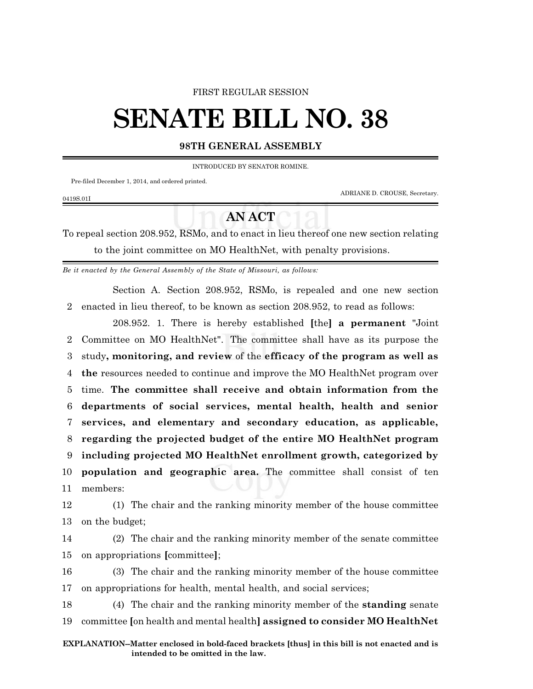## FIRST REGULAR SESSION

# **SENATE BILL NO. 38**

# **98TH GENERAL ASSEMBLY**

INTRODUCED BY SENATOR ROMINE.

Pre-filed December 1, 2014, and ordered printed.

0419S.01I

ADRIANE D. CROUSE, Secretary.

# **AN ACT**

To repeal section 208.952, RSMo, and to enact in lieu thereof one new section relating to the joint committee on MO HealthNet, with penalty provisions.

*Be it enacted by the General Assembly of the State of Missouri, as follows:*

Section A. Section 208.952, RSMo, is repealed and one new section 2 enacted in lieu thereof, to be known as section 208.952, to read as follows:

208.952. 1. There is hereby established **[**the**] a permanent** "Joint Committee on MO HealthNet". The committee shall have as its purpose the study**, monitoring, and review** of the **efficacy of the program as well as the** resources needed to continue and improve the MO HealthNet program over time. **The committee shall receive and obtain information from the departments of social services, mental health, health and senior services, and elementary and secondary education, as applicable, regarding the projected budget of the entire MO HealthNet program including projected MO HealthNet enrollment growth, categorized by population and geographic area.** The committee shall consist of ten 11 members:

12 (1) The chair and the ranking minority member of the house committee 13 on the budget;

14 (2) The chair and the ranking minority member of the senate committee 15 on appropriations **[**committee**]**;

16 (3) The chair and the ranking minority member of the house committee 17 on appropriations for health, mental health, and social services;

18 (4) The chair and the ranking minority member of the **standing** senate 19 committee **[**on health and mental health**] assigned to consider MO HealthNet**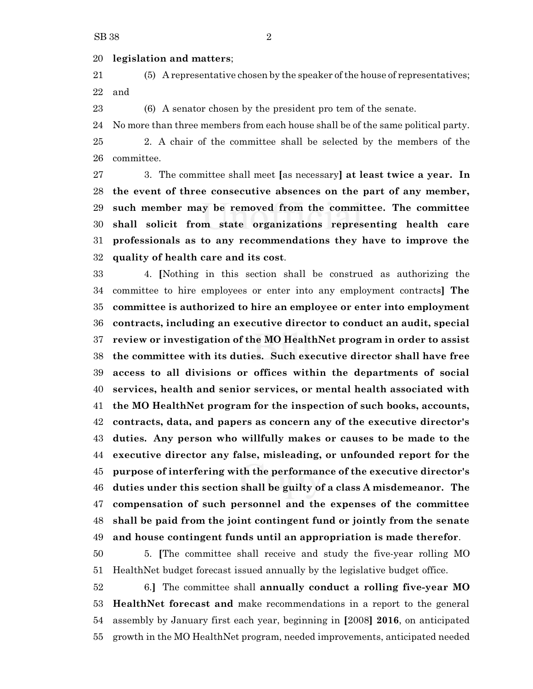### **legislation and matters**;

 (5) A representative chosen by the speaker ofthe house of representatives; and

(6) A senator chosen by the president pro tem of the senate.

No more than three members from each house shall be of the same political party.

 2. A chair of the committee shall be selected by the members of the committee.

 3. The committee shall meet **[**as necessary**] at least twice a year. In the event of three consecutive absences on the part of any member, such member may be removed from the committee. The committee shall solicit from state organizations representing health care professionals as to any recommendations they have to improve the quality of health care and its cost**.

 4. **[**Nothing in this section shall be construed as authorizing the committee to hire employees or enter into any employment contracts**] The committee is authorized to hire an employee or enter into employment contracts, including an executive director to conduct an audit, special review or investigation of the MO HealthNet program in order to assist the committee with its duties. Such executive director shall have free access to all divisions or offices within the departments of social services, health and senior services, or mental health associated with the MO HealthNet program for the inspection of such books, accounts, contracts, data, and papers as concern any of the executive director's duties. Any person who willfully makes or causes to be made to the executive director any false, misleading, or unfounded report for the purpose of interfering with the performance of the executive director's duties under this section shall be guilty of a class A misdemeanor. The compensation of such personnel and the expenses of the committee shall be paid from the joint contingent fund or jointly from the senate and house contingent funds until an appropriation is made therefor**.

 5. **[**The committee shall receive and study the five-year rolling MO HealthNet budget forecast issued annually by the legislative budget office.

 6.**]** The committee shall **annually conduct a rolling five-year MO HealthNet forecast and** make recommendations in a report to the general assembly by January first each year, beginning in **[**2008**] 2016**, on anticipated growth in the MO HealthNet program, needed improvements, anticipated needed